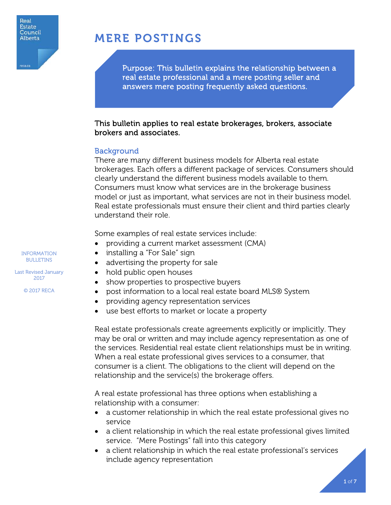

reca.ci

# MERE POSTINGS

Purpose: This bulletin explains the relationship between a real estate professional and a mere posting seller and answers mere posting frequently asked questions.

## This bulletin applies to real estate brokerages, brokers, associate brokers and associates.

### **Background**

There are many different business models for Alberta real estate brokerages. Each offers a different package of services. Consumers should clearly understand the different business models available to them. Consumers must know what services are in the brokerage business model or just as important, what services are not in their business model. Real estate professionals must ensure their client and third parties clearly understand their role.

Some examples of real estate services include:

- providing a current market assessment (CMA)
- installing a "For Sale" sign
- advertising the property for sale
- hold public open houses
- show properties to prospective buyers
- post information to a local real estate board MLS® System
- providing agency representation services
- use best efforts to market or locate a property

Real estate professionals create agreements explicitly or implicitly. They may be oral or written and may include agency representation as one of the services. Residential real estate client relationships must be in writing. When a real estate professional gives services to a consumer, that consumer is a client. The obligations to the client will depend on the relationship and the service(s) the brokerage offers.

A real estate professional has three options when establishing a relationship with a consumer:

- a customer relationship in which the real estate professional gives no service
- a client relationship in which the real estate professional gives limited service. "Mere Postings" fall into this category
- a client relationship in which the real estate professional's services include agency representation

INFORMATION BULLETINS

Last Revised January 2017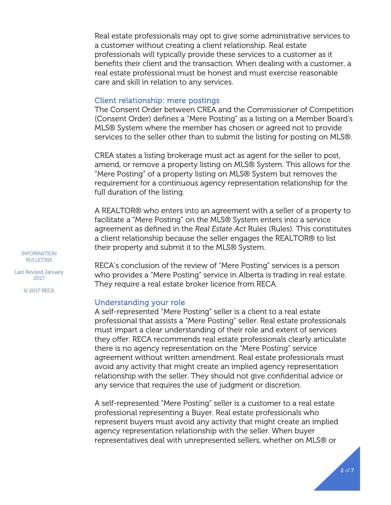Real estate professionals may opt to give some administrative services to a customer without creating a client relationship. Real estate professionals will typically provide these services to a customer as it benefits their client and the transaction. When dealing with a customer, a real estate professional must be honest and must exercise reasonable care and skill in relation to any services.

#### Client relationship: mere postings

The Consent Order between CREA and the Commissioner of Competition (Consent Order) defines a "Mere Posting" as a listing on a Member Board's MLS® System where the member has chosen or agreed not to provide services to the seller other than to submit the listing for posting on MLS®.

CREA states a listing brokerage must act as agent for the seller to post, amend, or remove a property listing on MLS® System. This allows for the "Mere Posting" of a property listing on MLS® System but removes the requirement for a continuous agency representation relationship for the full duration of the listing.

A REALTOR® who enters into an agreement with a seller of a property to facilitate a "Mere Posting" on the MLS® System enters into a service agreement as defined in the *Real Estate Act* Rules (Rules). This constitutes a client relationship because the seller engages the REALTOR® to list their property and submit it to the MLS® System.

RECA's conclusion of the review of "Mere Posting" services is a person who provides a "Mere Posting" service in Alberta is trading in real estate. They require a real estate broker licence from RECA.

#### Understanding your role

A self-represented "Mere Posting" seller is a client to a real estate professional that assists a "Mere Posting" seller. Real estate professionals must impart a clear understanding of their role and extent of services they offer. RECA recommends real estate professionals clearly articulate there is no agency representation on the "Mere Posting" service agreement without written amendment. Real estate professionals must avoid any activity that might create an implied agency representation relationship with the seller. They should not give confidential advice or any service that requires the use of judgment or discretion.

A self-represented "Mere Posting" seller is a customer to a real estate professional representing a Buyer. Real estate professionals who represent buyers must avoid any activity that might create an implied agency representation relationship with the seller. When buyer representatives deal with unrepresented sellers, whether on MLS® or

INFORMATION BULLETINS

Last Revised January 2017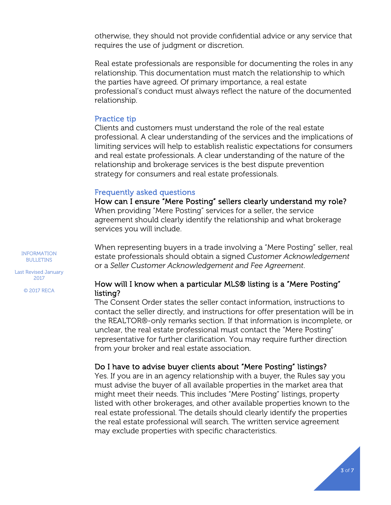otherwise, they should not provide confidential advice or any service that requires the use of judgment or discretion.

Real estate professionals are responsible for documenting the roles in any relationship. This documentation must match the relationship to which the parties have agreed. Of primary importance, a real estate professional's conduct must always reflect the nature of the documented relationship.

#### Practice tip

Clients and customers must understand the role of the real estate professional. A clear understanding of the services and the implications of limiting services will help to establish realistic expectations for consumers and real estate professionals. A clear understanding of the nature of the relationship and brokerage services is the best dispute prevention strategy for consumers and real estate professionals.

#### Frequently asked questions

How can I ensure "Mere Posting" sellers clearly understand my role? When providing "Mere Posting" services for a seller, the service agreement should clearly identify the relationship and what brokerage services you will include.

When representing buyers in a trade involving a "Mere Posting" seller, real estate professionals should obtain a signed *Customer Acknowledgement*  or a *Seller Customer Acknowledgement and Fee Agreement*.

Last Revised January 2017

INFORMATION BULLETINS

© 2017 RECA

## How will I know when a particular MLS® listing is a "Mere Posting" listing?

The Consent Order states the seller contact information, instructions to contact the seller directly, and instructions for offer presentation will be in the REALTOR®-only remarks section. If that information is incomplete, or unclear, the real estate professional must contact the "Mere Posting" representative for further clarification. You may require further direction from your broker and real estate association.

### Do I have to advise buyer clients about "Mere Posting" listings?

Yes. If you are in an agency relationship with a buyer, the Rules say you must advise the buyer of all available properties in the market area that might meet their needs. This includes "Mere Posting" listings, property listed with other brokerages, and other available properties known to the real estate professional. The details should clearly identify the properties the real estate professional will search. The written service agreement may exclude properties with specific characteristics.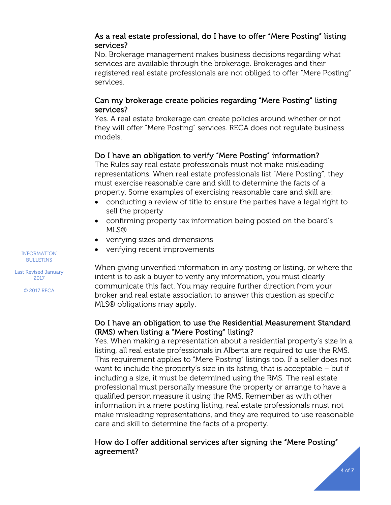## As a real estate professional, do I have to offer "Mere Posting" listing services?

No. Brokerage management makes business decisions regarding what services are available through the brokerage. Brokerages and their registered real estate professionals are not obliged to offer "Mere Posting" services.

## Can my brokerage create policies regarding "Mere Posting" listing services?

Yes. A real estate brokerage can create policies around whether or not they will offer "Mere Posting" services. RECA does not regulate business models.

## Do I have an obligation to verify "Mere Posting" information?

The Rules say real estate professionals must not make misleading representations. When real estate professionals list "Mere Posting", they must exercise reasonable care and skill to determine the facts of a property. Some examples of exercising reasonable care and skill are:

- conducting a review of title to ensure the parties have a legal right to sell the property
- confirming property tax information being posted on the board's MLS®
- verifying sizes and dimensions
- verifying recent improvements

When giving unverified information in any posting or listing, or where the intent is to ask a buyer to verify any information, you must clearly communicate this fact. You may require further direction from your broker and real estate association to answer this question as specific MLS® obligations may apply.

## Do I have an obligation to use the Residential Measurement Standard (RMS) when listing a "Mere Posting" listing?

Yes. When making a representation about a residential property's size in a listing, all real estate professionals in Alberta are required to use the RMS. This requirement applies to "Mere Posting" listings too. If a seller does not want to include the property's size in its listing, that is acceptable – but if including a size, it must be determined using the RMS. The real estate professional must personally measure the property or arrange to have a qualified person measure it using the RMS. Remember as with other information in a mere posting listing, real estate professionals must not make misleading representations, and they are required to use reasonable care and skill to determine the facts of a property.

## How do I offer additional services after signing the "Mere Posting" agreement?

INFORMATION BULLETINS

Last Revised January 2017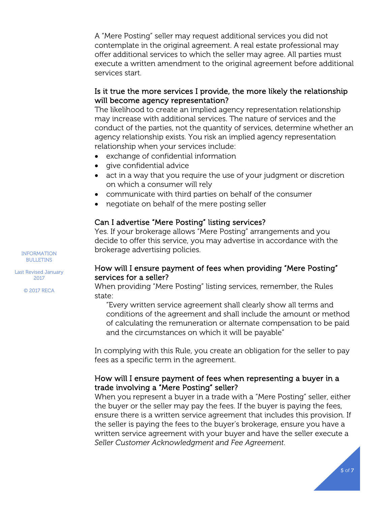A "Mere Posting" seller may request additional services you did not contemplate in the original agreement. A real estate professional may offer additional services to which the seller may agree. All parties must execute a written amendment to the original agreement before additional services start.

## Is it true the more services I provide, the more likely the relationship will become agency representation?

The likelihood to create an implied agency representation relationship may increase with additional services. The nature of services and the conduct of the parties, not the quantity of services, determine whether an agency relationship exists. You risk an implied agency representation relationship when your services include:

- exchange of confidential information
- give confidential advice
- act in a way that you require the use of your judgment or discretion on which a consumer will rely
- communicate with third parties on behalf of the consumer
- negotiate on behalf of the mere posting seller

## Can I advertise "Mere Posting" listing services?

Yes. If your brokerage allows "Mere Posting" arrangements and you decide to offer this service, you may advertise in accordance with the brokerage advertising policies.

## How will I ensure payment of fees when providing "Mere Posting" services for a seller?

When providing "Mere Posting" listing services, remember, the Rules state:

"Every written service agreement shall clearly show all terms and conditions of the agreement and shall include the amount or method of calculating the remuneration or alternate compensation to be paid and the circumstances on which it will be payable"

In complying with this Rule, you create an obligation for the seller to pay fees as a specific term in the agreement.

## How will I ensure payment of fees when representing a buyer in a trade involving a "Mere Posting" seller?

When you represent a buyer in a trade with a "Mere Posting" seller, either the buyer or the seller may pay the fees. If the buyer is paying the fees, ensure there is a written service agreement that includes this provision. If the seller is paying the fees to the buyer's brokerage, ensure you have a written service agreement with your buyer and have the seller execute a *Seller Customer Acknowledgment and Fee Agreement*.

INFORMATION BULLETINS

Last Revised January 2017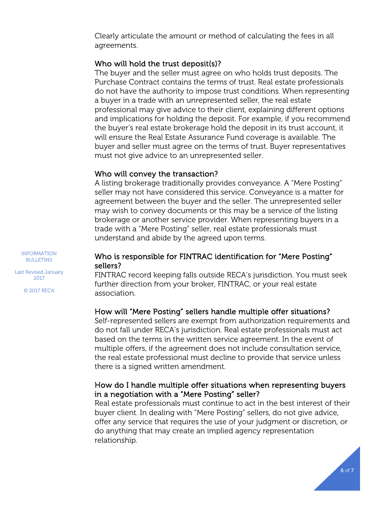Clearly articulate the amount or method of calculating the fees in all agreements.

## Who will hold the trust deposit(s)?

The buyer and the seller must agree on who holds trust deposits. The Purchase Contract contains the terms of trust. Real estate professionals do not have the authority to impose trust conditions. When representing a buyer in a trade with an unrepresented seller, the real estate professional may give advice to their client, explaining different options and implications for holding the deposit. For example, if you recommend the buyer's real estate brokerage hold the deposit in its trust account, it will ensure the Real Estate Assurance Fund coverage is available. The buyer and seller must agree on the terms of trust. Buyer representatives must not give advice to an unrepresented seller.

### Who will convey the transaction?

A listing brokerage traditionally provides conveyance. A "Mere Posting" seller may not have considered this service. Conveyance is a matter for agreement between the buyer and the seller. The unrepresented seller may wish to convey documents or this may be a service of the listing brokerage or another service provider. When representing buyers in a trade with a "Mere Posting" seller, real estate professionals must understand and abide by the agreed upon terms.

INFORMATION BULLETINS

Last Revised January 2017

© 2017 RECA

### Who is responsible for FINTRAC identification for "Mere Posting" sellers?

FINTRAC record keeping falls outside RECA's jurisdiction. You must seek further direction from your broker, FINTRAC, or your real estate association.

### How will "Mere Posting" sellers handle multiple offer situations?

Self-represented sellers are exempt from authorization requirements and do not fall under RECA's jurisdiction. Real estate professionals must act based on the terms in the written service agreement. In the event of multiple offers, if the agreement does not include consultation service, the real estate professional must decline to provide that service unless there is a signed written amendment.

## How do I handle multiple offer situations when representing buyers in a negotiation with a "Mere Posting" seller?

Real estate professionals must continue to act in the best interest of their buyer client. In dealing with "Mere Posting" sellers, do not give advice, offer any service that requires the use of your judgment or discretion, or do anything that may create an implied agency representation relationship.